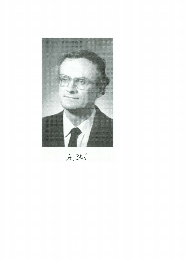

A. Blis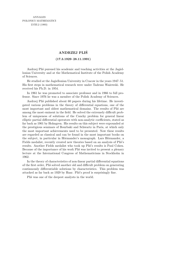## **ANDRZEJ PLIS´**

## (17.3.1929–28.11.1991)

Andrzej Pliś pursued his academic and teaching activities at the Jagiellonian University and at the Mathematical Institute of the Polish Academy of Sciences.

He studied at the Jagiellonian University in Cracow in the years 1947–51. His first steps in mathematical research were under Tadeusz Wa˙zewski. He received his Ph.D. in 1954.

In 1961 he was promoted to associate professor and in 1966 to full professor. Since 1976 he was a member of the Polish Academy of Sciences.

Andrzej Pliś published about 60 papers during his lifetime. He investigated various problems in the theory of differential equations, one of the most important and oldest mathematical domains. The results of Plis are among the most eminent in the field. He solved the extremely difficult problem of uniqueness of solutions of the Cauchy problem for general linear elliptic partial differential operators with non-analytic coefficients, stated as far back as 1901 by Holmgren. His results on this subject were expounded at the prestigious seminars of Bourbaki and Schwartz in Paris, at which only the most important achievements used to be presented. Now these results are regarded as classical and can be found in the most important books on the subject, in particular in Hörmander's monograph. Lars Hörmander, a Fields medalist, recently created new theories based on an analysis of Plis's results. Another Fields medalist who took up Plis's results is Paul Cohen. Because of the importance of his work Plist was invited to present a plenary lecture at the International Congress of Mathematicians in Stockholm in 1962.

In the theory of characteristics of non-linear partial differential equations of the first order, Pli´s solved another old and difficult problem on generating continuously differentiable solutions by characteristics. This problem was attacked as far back as 1929 by Haar. Plis's proof is surprisingly fine.

Plis was one of the deepest analysts in the world.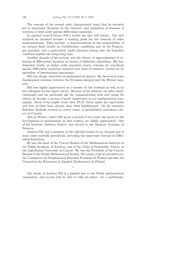The concept of the second order characteristic band that he invented led to important theorems on the existence and evaluation of domains of solutions of first order partial differential equations.

In optimal control theory Plis's results are also well known. The new methods he invented became a starting point for the research of other mathematicians. They include: a characterization of the measurability of an orientor field, results on Carathéodory conditions and on the Pontryagin principle, and a particularly useful theorem stating that the Lipschitz condition implies the bang-bang type.

Another domain of his activity was the theory of approximation of solutions of differential equations by means of difference algorithms. His fundamental results on higher order precision convex schemes for non-linear partial differential equations initiated new lines of research, carried on by specialists of international importance.

Plis was deeply interested in mathematical physics. He discovered some fundamental relations between the Feynman integral and the Wiener measure.

Plis was highly appreciated as a teacher by his students as well as by his colleagues for his expert advice. Because of his influence on other mathematicians and his particular gift for communicating with and caring for others, he became a person of great importance in our mathematical community. Seven of his pupils wrote their Ph.D. theses under his supervision and four of them have already done their habilitations. On his initiative Bolesław Szafirski created an active center of probabilistic turbulence theory in Cracow.

Also in Mexico, where Plis spent a period of two years, his merits in the development of mathematics in that country are highly appreciated. One of his students, Roberto Suarez, was elected to the Mexican Academy of Sciences.

Andrzej Pliś was a member of the editorial board of our Journal and of some other scientific periodicals, including the important Journal of Differential Equations.

He was the head of the Cracow Branch of the Mathematical Institute of the Polish Academy of Sciences, and of the Chair of Probability Theory at the Jagiellonian University in Cracow. He was the President of the Cracow Branch of the Polish Mathematical Society. For many years he presided over the Committee for Fundamental Research Problems in Poland and also the Committee for Education in Applied Mathematics in Poland.

The death of Andrzej Plis' is a painful loss to the Polish mathematical community, and no-one will be able to take his place. As a mathemati-

\*